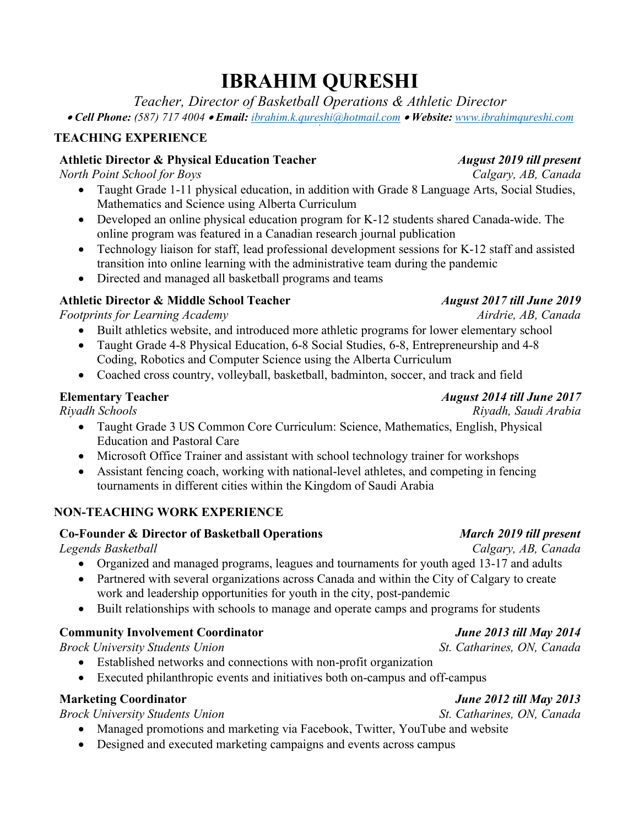# **IBRAHIM QURESHI**

*Teacher, Director of Basketball Operations & Athletic Director*

• *Cell Phone: (587) 717 4004* • *Email: ibrahim.k.qureshi@hotmail.com* • *Website: www.ibrahimqureshi.com* **`**

### **TEACHING EXPERIENCE**

#### **Athletic Director & Physical Education Teacher** *August 2019 till present*

*North Point School for Boys Calgary, AB, Canada*

- Taught Grade 1-11 physical education, in addition with Grade 8 Language Arts, Social Studies, Mathematics and Science using Alberta Curriculum
- Developed an online physical education program for K-12 students shared Canada-wide. The online program was featured in a Canadian research journal publication
- Technology liaison for staff, lead professional development sessions for K-12 staff and assisted transition into online learning with the administrative team during the pandemic
- Directed and managed all basketball programs and teams

### **Athletic Director & Middle School Teacher** *August 2017 till June 2019*

*Footprints for Learning Academy Airdrie, AB, Canada*

- Built athletics website, and introduced more athletic programs for lower elementary school
- Taught Grade 4-8 Physical Education, 6-8 Social Studies, 6-8, Entrepreneurship and 4-8 Coding, Robotics and Computer Science using the Alberta Curriculum
- Coached cross country, volleyball, basketball, badminton, soccer, and track and field

- Taught Grade 3 US Common Core Curriculum: Science, Mathematics, English, Physical Education and Pastoral Care
- Microsoft Office Trainer and assistant with school technology trainer for workshops
- Assistant fencing coach, working with national-level athletes, and competing in fencing tournaments in different cities within the Kingdom of Saudi Arabia

### **NON-TEACHING WORK EXPERIENCE**

### **Co-Founder & Director of Basketball Operations** *March 2019 till present*

- Organized and managed programs, leagues and tournaments for youth aged 13-17 and adults
- Partnered with several organizations across Canada and within the City of Calgary to create work and leadership opportunities for youth in the city, post-pandemic
- Built relationships with schools to manage and operate camps and programs for students

### **Community Involvement Coordinator** *June 2013 till May 2014*

*Brock University Students Union St. Catharines, ON, Canada*

- Established networks and connections with non-profit organization
- Executed philanthropic events and initiatives both on-campus and off-campus

### **Marketing Coordinator** *June 2012 till May 2013*

*Brock University Students Union St. Catharines, ON, Canada*

- Managed promotions and marketing via Facebook, Twitter, YouTube and website
- Designed and executed marketing campaigns and events across campus

#### *Riyadh Schools Riyadh, Saudi Arabia*

#### *Legends Basketball Calgary, AB, Canada*

## **Elementary Teacher** *August 2014 till June 2017*